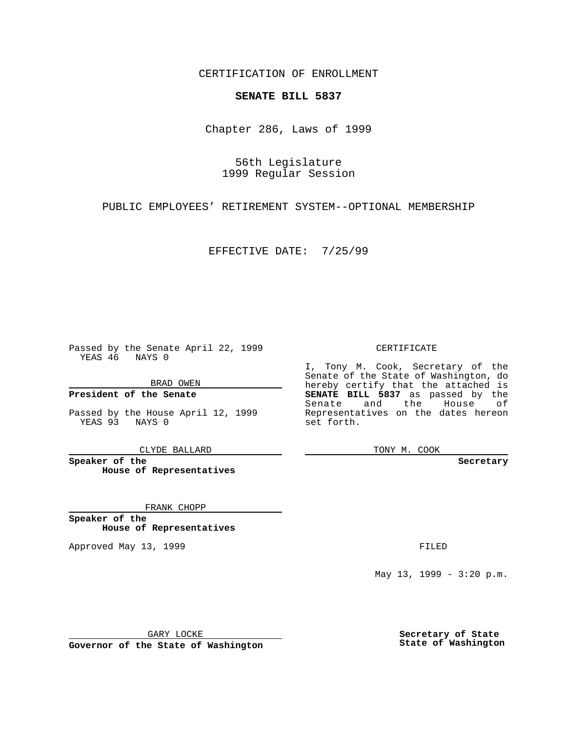CERTIFICATION OF ENROLLMENT

## **SENATE BILL 5837**

Chapter 286, Laws of 1999

56th Legislature 1999 Regular Session

PUBLIC EMPLOYEES' RETIREMENT SYSTEM--OPTIONAL MEMBERSHIP

EFFECTIVE DATE: 7/25/99

Passed by the Senate April 22, 1999 YEAS 46 NAYS 0

BRAD OWEN

**President of the Senate**

Passed by the House April 12, 1999 YEAS 93 NAYS 0

CLYDE BALLARD

**Speaker of the House of Representatives**

FRANK CHOPP

**Speaker of the House of Representatives**

Approved May 13, 1999 **FILED** 

CERTIFICATE

I, Tony M. Cook, Secretary of the Senate of the State of Washington, do hereby certify that the attached is **SENATE BILL 5837** as passed by the Senate and the House of Representatives on the dates hereon set forth.

TONY M. COOK

**Secretary**

May 13, 1999 - 3:20 p.m.

GARY LOCKE

**Governor of the State of Washington**

**Secretary of State State of Washington**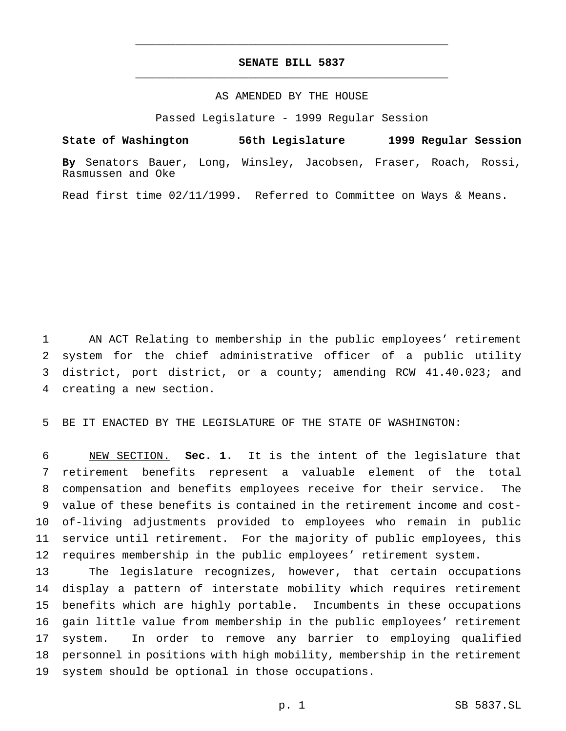## **SENATE BILL 5837** \_\_\_\_\_\_\_\_\_\_\_\_\_\_\_\_\_\_\_\_\_\_\_\_\_\_\_\_\_\_\_\_\_\_\_\_\_\_\_\_\_\_\_\_\_\_\_

\_\_\_\_\_\_\_\_\_\_\_\_\_\_\_\_\_\_\_\_\_\_\_\_\_\_\_\_\_\_\_\_\_\_\_\_\_\_\_\_\_\_\_\_\_\_\_

## AS AMENDED BY THE HOUSE

Passed Legislature - 1999 Regular Session

**State of Washington 56th Legislature 1999 Regular Session**

**By** Senators Bauer, Long, Winsley, Jacobsen, Fraser, Roach, Rossi, Rasmussen and Oke

Read first time 02/11/1999. Referred to Committee on Ways & Means.

 AN ACT Relating to membership in the public employees' retirement system for the chief administrative officer of a public utility district, port district, or a county; amending RCW 41.40.023; and creating a new section.

BE IT ENACTED BY THE LEGISLATURE OF THE STATE OF WASHINGTON:

 NEW SECTION. **Sec. 1.** It is the intent of the legislature that retirement benefits represent a valuable element of the total compensation and benefits employees receive for their service. The value of these benefits is contained in the retirement income and cost- of-living adjustments provided to employees who remain in public service until retirement. For the majority of public employees, this requires membership in the public employees' retirement system.

 The legislature recognizes, however, that certain occupations display a pattern of interstate mobility which requires retirement benefits which are highly portable. Incumbents in these occupations gain little value from membership in the public employees' retirement system. In order to remove any barrier to employing qualified personnel in positions with high mobility, membership in the retirement system should be optional in those occupations.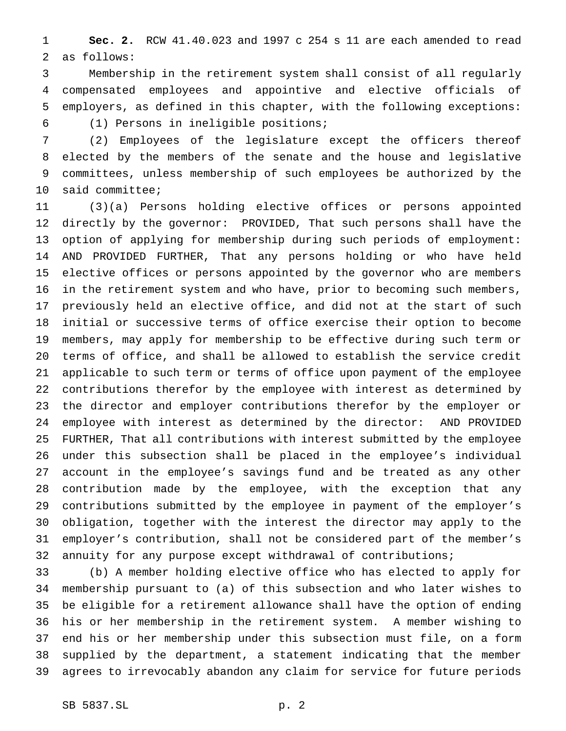**Sec. 2.** RCW 41.40.023 and 1997 c 254 s 11 are each amended to read as follows:

 Membership in the retirement system shall consist of all regularly compensated employees and appointive and elective officials of employers, as defined in this chapter, with the following exceptions: (1) Persons in ineligible positions;

(2) Employees of the legislature except the officers thereof

 elected by the members of the senate and the house and legislative committees, unless membership of such employees be authorized by the said committee;

 (3)(a) Persons holding elective offices or persons appointed directly by the governor: PROVIDED, That such persons shall have the option of applying for membership during such periods of employment: AND PROVIDED FURTHER, That any persons holding or who have held elective offices or persons appointed by the governor who are members in the retirement system and who have, prior to becoming such members, previously held an elective office, and did not at the start of such initial or successive terms of office exercise their option to become members, may apply for membership to be effective during such term or terms of office, and shall be allowed to establish the service credit applicable to such term or terms of office upon payment of the employee contributions therefor by the employee with interest as determined by the director and employer contributions therefor by the employer or employee with interest as determined by the director: AND PROVIDED FURTHER, That all contributions with interest submitted by the employee under this subsection shall be placed in the employee's individual account in the employee's savings fund and be treated as any other contribution made by the employee, with the exception that any contributions submitted by the employee in payment of the employer's obligation, together with the interest the director may apply to the employer's contribution, shall not be considered part of the member's annuity for any purpose except withdrawal of contributions;

 (b) A member holding elective office who has elected to apply for membership pursuant to (a) of this subsection and who later wishes to be eligible for a retirement allowance shall have the option of ending his or her membership in the retirement system. A member wishing to end his or her membership under this subsection must file, on a form supplied by the department, a statement indicating that the member agrees to irrevocably abandon any claim for service for future periods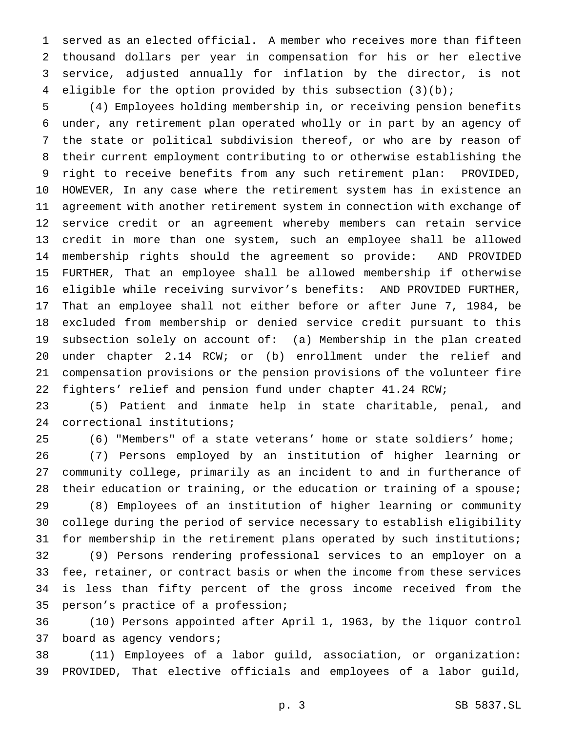served as an elected official. A member who receives more than fifteen thousand dollars per year in compensation for his or her elective service, adjusted annually for inflation by the director, is not eligible for the option provided by this subsection (3)(b);

 (4) Employees holding membership in, or receiving pension benefits under, any retirement plan operated wholly or in part by an agency of the state or political subdivision thereof, or who are by reason of their current employment contributing to or otherwise establishing the right to receive benefits from any such retirement plan: PROVIDED, HOWEVER, In any case where the retirement system has in existence an agreement with another retirement system in connection with exchange of service credit or an agreement whereby members can retain service credit in more than one system, such an employee shall be allowed membership rights should the agreement so provide: AND PROVIDED FURTHER, That an employee shall be allowed membership if otherwise eligible while receiving survivor's benefits: AND PROVIDED FURTHER, That an employee shall not either before or after June 7, 1984, be excluded from membership or denied service credit pursuant to this subsection solely on account of: (a) Membership in the plan created under chapter 2.14 RCW; or (b) enrollment under the relief and compensation provisions or the pension provisions of the volunteer fire fighters' relief and pension fund under chapter 41.24 RCW;

 (5) Patient and inmate help in state charitable, penal, and correctional institutions;

(6) "Members" of a state veterans' home or state soldiers' home;

 (7) Persons employed by an institution of higher learning or community college, primarily as an incident to and in furtherance of 28 their education or training, or the education or training of a spouse;

 (8) Employees of an institution of higher learning or community college during the period of service necessary to establish eligibility for membership in the retirement plans operated by such institutions;

 (9) Persons rendering professional services to an employer on a fee, retainer, or contract basis or when the income from these services is less than fifty percent of the gross income received from the person's practice of a profession;

 (10) Persons appointed after April 1, 1963, by the liquor control board as agency vendors;

 (11) Employees of a labor guild, association, or organization: PROVIDED, That elective officials and employees of a labor guild,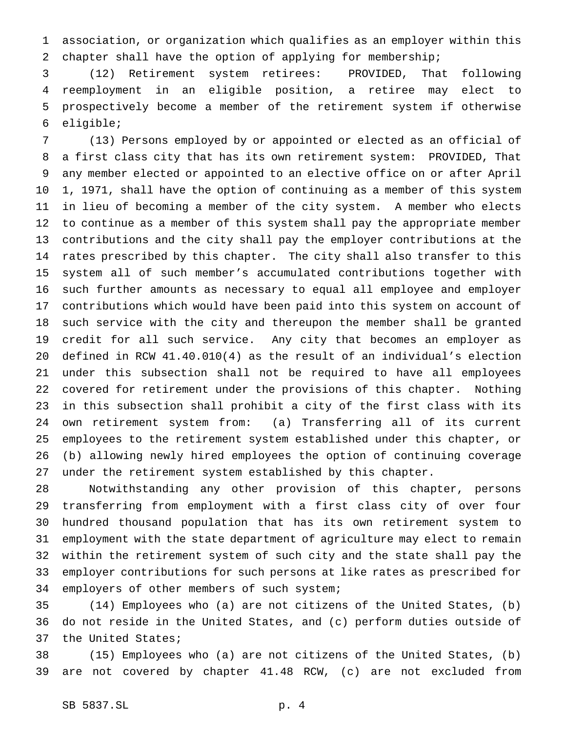association, or organization which qualifies as an employer within this chapter shall have the option of applying for membership;

 (12) Retirement system retirees: PROVIDED, That following reemployment in an eligible position, a retiree may elect to prospectively become a member of the retirement system if otherwise eligible;

 (13) Persons employed by or appointed or elected as an official of a first class city that has its own retirement system: PROVIDED, That any member elected or appointed to an elective office on or after April 1, 1971, shall have the option of continuing as a member of this system in lieu of becoming a member of the city system. A member who elects to continue as a member of this system shall pay the appropriate member contributions and the city shall pay the employer contributions at the rates prescribed by this chapter. The city shall also transfer to this system all of such member's accumulated contributions together with such further amounts as necessary to equal all employee and employer contributions which would have been paid into this system on account of such service with the city and thereupon the member shall be granted credit for all such service. Any city that becomes an employer as defined in RCW 41.40.010(4) as the result of an individual's election under this subsection shall not be required to have all employees covered for retirement under the provisions of this chapter. Nothing in this subsection shall prohibit a city of the first class with its own retirement system from: (a) Transferring all of its current employees to the retirement system established under this chapter, or (b) allowing newly hired employees the option of continuing coverage under the retirement system established by this chapter.

 Notwithstanding any other provision of this chapter, persons transferring from employment with a first class city of over four hundred thousand population that has its own retirement system to employment with the state department of agriculture may elect to remain within the retirement system of such city and the state shall pay the employer contributions for such persons at like rates as prescribed for employers of other members of such system;

 (14) Employees who (a) are not citizens of the United States, (b) do not reside in the United States, and (c) perform duties outside of the United States;

 (15) Employees who (a) are not citizens of the United States, (b) are not covered by chapter 41.48 RCW, (c) are not excluded from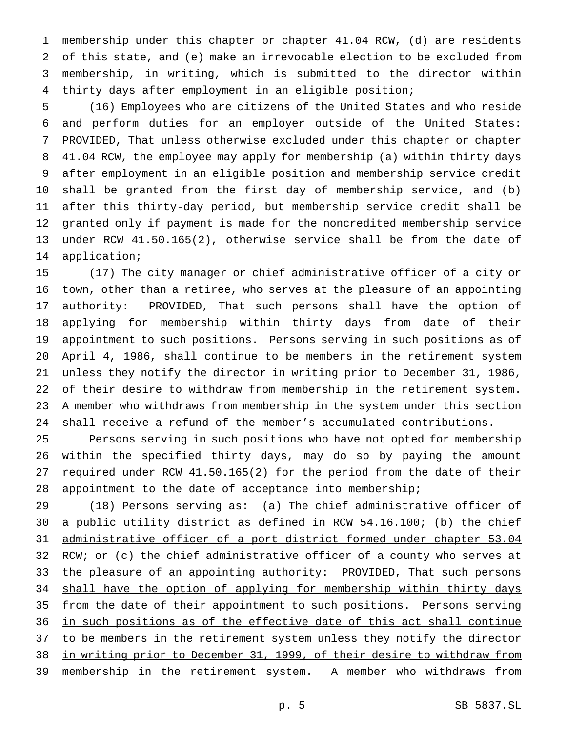membership under this chapter or chapter 41.04 RCW, (d) are residents of this state, and (e) make an irrevocable election to be excluded from membership, in writing, which is submitted to the director within thirty days after employment in an eligible position;

 (16) Employees who are citizens of the United States and who reside and perform duties for an employer outside of the United States: PROVIDED, That unless otherwise excluded under this chapter or chapter 41.04 RCW, the employee may apply for membership (a) within thirty days after employment in an eligible position and membership service credit shall be granted from the first day of membership service, and (b) after this thirty-day period, but membership service credit shall be granted only if payment is made for the noncredited membership service under RCW 41.50.165(2), otherwise service shall be from the date of application;

 (17) The city manager or chief administrative officer of a city or town, other than a retiree, who serves at the pleasure of an appointing authority: PROVIDED, That such persons shall have the option of applying for membership within thirty days from date of their appointment to such positions. Persons serving in such positions as of April 4, 1986, shall continue to be members in the retirement system unless they notify the director in writing prior to December 31, 1986, of their desire to withdraw from membership in the retirement system. A member who withdraws from membership in the system under this section shall receive a refund of the member's accumulated contributions.

 Persons serving in such positions who have not opted for membership within the specified thirty days, may do so by paying the amount required under RCW 41.50.165(2) for the period from the date of their appointment to the date of acceptance into membership;

29 (18) Persons serving as: (a) The chief administrative officer of a public utility district as defined in RCW 54.16.100; (b) the chief administrative officer of a port district formed under chapter 53.04 32 RCW; or (c) the chief administrative officer of a county who serves at 33 the pleasure of an appointing authority: PROVIDED, That such persons 34 shall have the option of applying for membership within thirty days from the date of their appointment to such positions. Persons serving in such positions as of the effective date of this act shall continue 37 to be members in the retirement system unless they notify the director in writing prior to December 31, 1999, of their desire to withdraw from 39 membership in the retirement system. A member who withdraws from